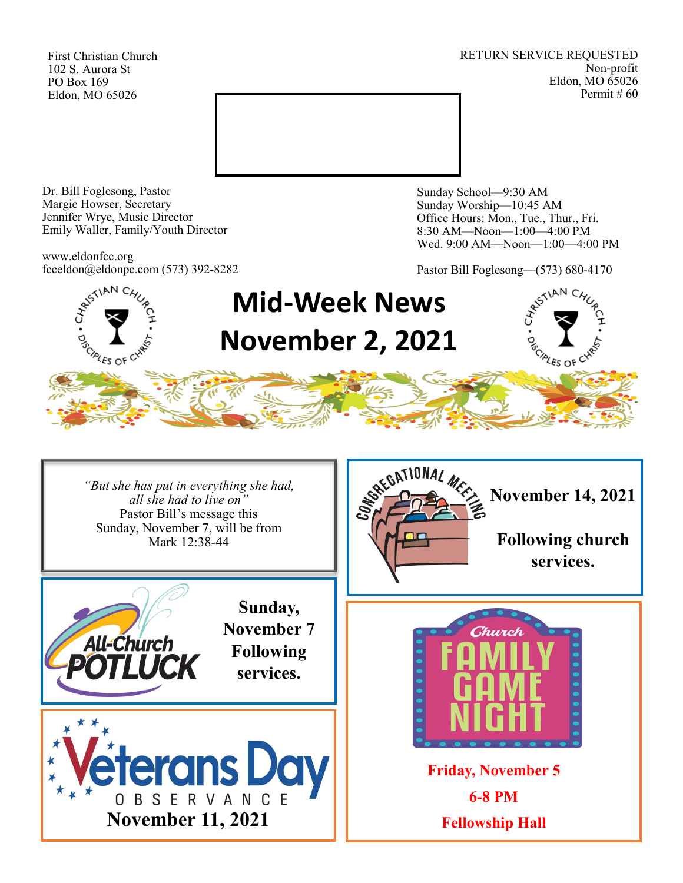First Christian Church 102 S. Aurora St PO Box 169 Eldon, MO 65026

RETURN SERVICE REQUESTED Non-profit Eldon, MO 65026 Permit # 60



Dr. Bill Foglesong, Pastor Margie Howser, Secretary Jennifer Wrye, Music Director Emily Waller, Family/Youth Director

www.eldonfcc.org fcceldon@eldonpc.com (573) 392-8282 Sunday School—9:30 AM Sunday Worship—10:45 AM Office Hours: Mon., Tue., Thur., Fri. 8:30 AM—Noon—1:00—4:00 PM Wed. 9:00 AM—Noon—1:00—4:00 PM

Pastor Bill Foglesong—(573) 680-4170



*"But she has put in everything she had, all she had to live on"* Pastor Bill's message this Sunday, November 7, will be from Mark 12:38-44





**November 14, 2021**

**Following church services.**



**Friday, November 5 6-8 PM Fellowship Hall**